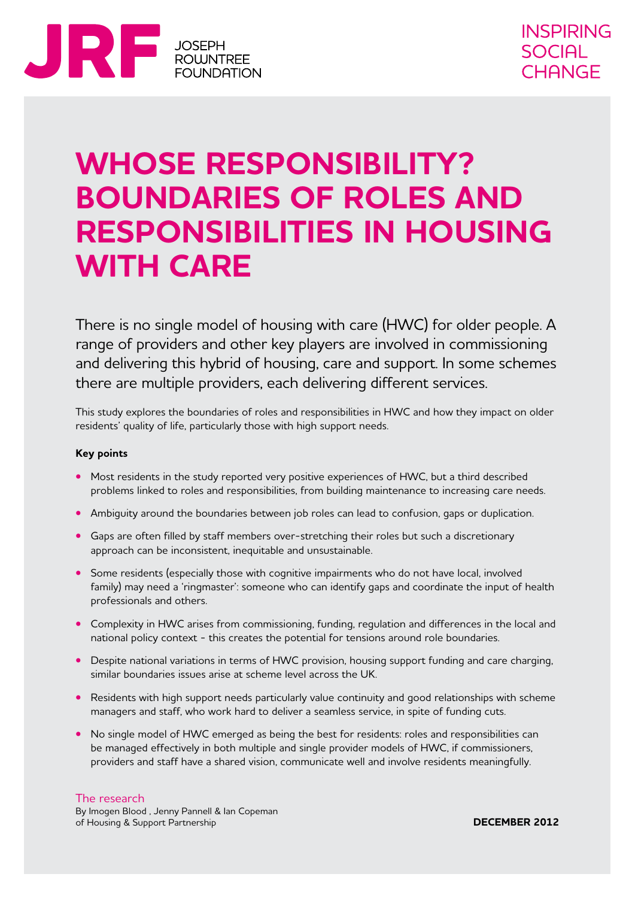

# **Whose responsibility? Boundaries of roles and responsibilities in housing with care**

There is no single model of housing with care (HWC) for older people. A range of providers and other key players are involved in commissioning and delivering this hybrid of housing, care and support. In some schemes there are multiple providers, each delivering different services.

This study explores the boundaries of roles and responsibilities in HWC and how they impact on older residents' quality of life, particularly those with high support needs.

#### **Key points**

- Most residents in the study reported very positive experiences of HWC, but a third described problems linked to roles and responsibilities, from building maintenance to increasing care needs.
- **•** Ambiguity around the boundaries between job roles can lead to confusion, gaps or duplication.
- **•**  Gaps are often filled by staff members over-stretching their roles but such a discretionary approach can be inconsistent, inequitable and unsustainable.
- Some residents (especially those with cognitive impairments who do not have local, involved family) may need a 'ringmaster': someone who can identify gaps and coordinate the input of health professionals and others.
- **•** Complexity in HWC arises from commissioning, funding, regulation and differences in the local and national policy context - this creates the potential for tensions around role boundaries.
- Despite national variations in terms of HWC provision, housing support funding and care charging, similar boundaries issues arise at scheme level across the UK.
- **•** Residents with high support needs particularly value continuity and good relationships with scheme managers and staff, who work hard to deliver a seamless service, in spite of funding cuts.
- No single model of HWC emerged as being the best for residents: roles and responsibilities can be managed effectively in both multiple and single provider models of HWC, if commissioners, providers and staff have a shared vision, communicate well and involve residents meaningfully.

#### The research

By Imogen Blood , Jenny Pannell & Ian Copeman of Housing & Support Partnership

**DECEMBER 2012**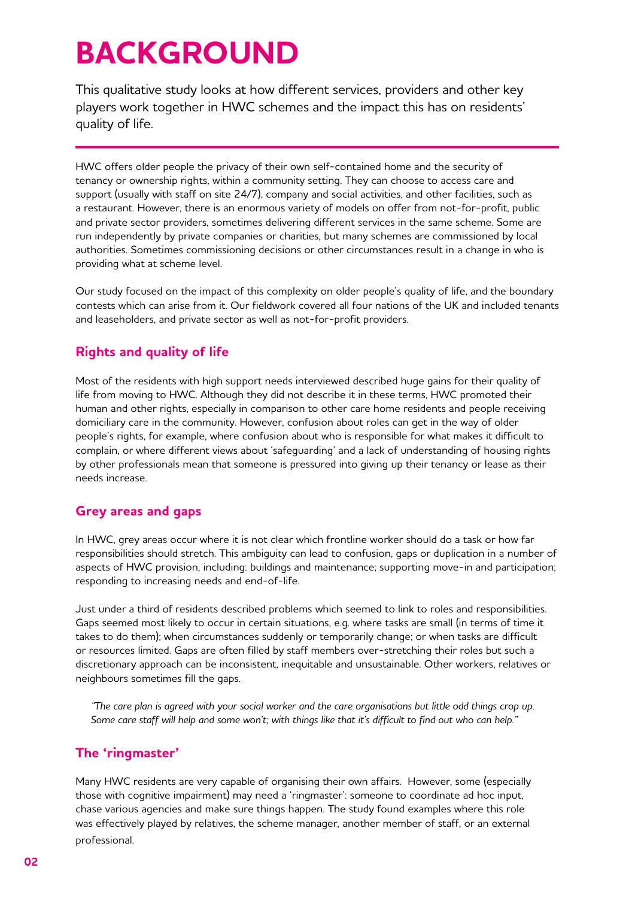# **BACKGROUND**

This qualitative study looks at how different services, providers and other key players work together in HWC schemes and the impact this has on residents' quality of life.

HWC offers older people the privacy of their own self-contained home and the security of tenancy or ownership rights, within a community setting. They can choose to access care and support (usually with staff on site 24/7), company and social activities, and other facilities, such as a restaurant. However, there is an enormous variety of models on offer from not-for-profit, public and private sector providers, sometimes delivering different services in the same scheme. Some are run independently by private companies or charities, but many schemes are commissioned by local authorities. Sometimes commissioning decisions or other circumstances result in a change in who is providing what at scheme level.

Our study focused on the impact of this complexity on older people's quality of life, and the boundary contests which can arise from it. Our fieldwork covered all four nations of the UK and included tenants and leaseholders, and private sector as well as not-for-profit providers.

# **Rights and quality of life**

Most of the residents with high support needs interviewed described huge gains for their quality of life from moving to HWC. Although they did not describe it in these terms, HWC promoted their human and other rights, especially in comparison to other care home residents and people receiving domiciliary care in the community. However, confusion about roles can get in the way of older people's rights, for example, where confusion about who is responsible for what makes it difficult to complain, or where different views about 'safeguarding' and a lack of understanding of housing rights by other professionals mean that someone is pressured into giving up their tenancy or lease as their needs increase.

# **Grey areas and gaps**

In HWC, grey areas occur where it is not clear which frontline worker should do a task or how far responsibilities should stretch. This ambiguity can lead to confusion, gaps or duplication in a number of aspects of HWC provision, including: buildings and maintenance; supporting move-in and participation; responding to increasing needs and end-of-life.

Just under a third of residents described problems which seemed to link to roles and responsibilities. Gaps seemed most likely to occur in certain situations, e.g. where tasks are small (in terms of time it takes to do them); when circumstances suddenly or temporarily change; or when tasks are difficult or resources limited. Gaps are often filled by staff members over-stretching their roles but such a discretionary approach can be inconsistent, inequitable and unsustainable. Other workers, relatives or neighbours sometimes fill the gaps.

*"The care plan is agreed with your social worker and the care organisations but little odd things crop up. Some care staff will help and some won't; with things like that it's difficult to find out who can help."*

# **The 'ringmaster'**

Many HWC residents are very capable of organising their own affairs. However, some (especially those with cognitive impairment) may need a 'ringmaster': someone to coordinate ad hoc input, chase various agencies and make sure things happen. The study found examples where this role was effectively played by relatives, the scheme manager, another member of staff, or an external professional.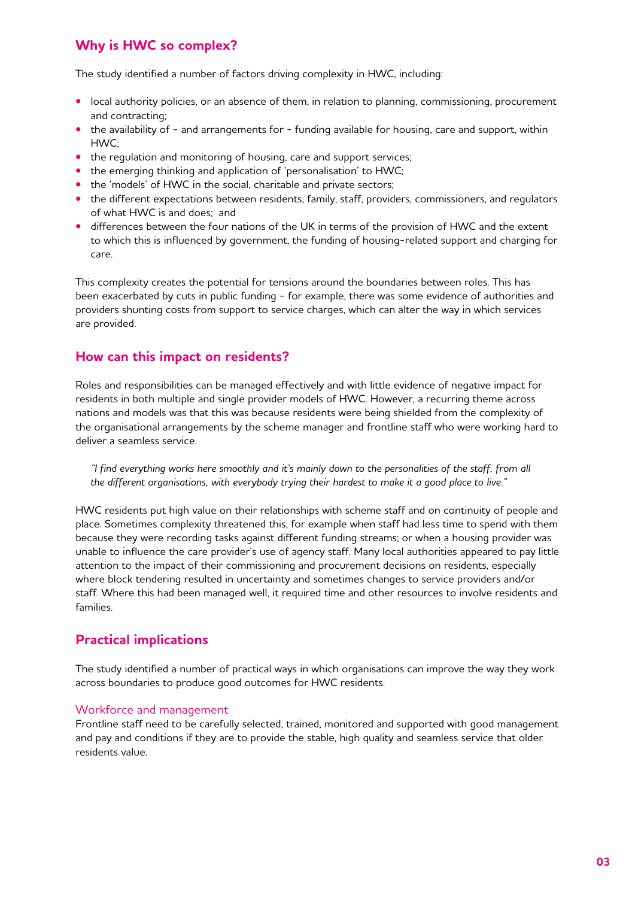# **Why is HWC so complex?**

The study identified a number of factors driving complexity in HWC, including:

- local authority policies, or an absence of them, in relation to planning, commissioning, procurement and contracting;
- the availability of and arrangements for funding available for housing, care and support, within HWC;
- the regulation and monitoring of housing, care and support services;
- the emerging thinking and application of 'personalisation' to HWC;
- the 'models' of HWC in the social, charitable and private sectors;
- the different expectations between residents, family, staff, providers, commissioners, and regulators of what HWC is and does; and
- **•** differences between the four nations of the UK in terms of the provision of HWC and the extent to which this is influenced by government, the funding of housing-related support and charging for care.

This complexity creates the potential for tensions around the boundaries between roles. This has been exacerbated by cuts in public funding - for example, there was some evidence of authorities and providers shunting costs from support to service charges, which can alter the way in which services are provided.

## **How can this impact on residents?**

Roles and responsibilities can be managed effectively and with little evidence of negative impact for residents in both multiple and single provider models of HWC. However, a recurring theme across nations and models was that this was because residents were being shielded from the complexity of the organisational arrangements by the scheme manager and frontline staff who were working hard to deliver a seamless service.

*"I find everything works here smoothly and it's mainly down to the personalities of the staff, from all the different organisations, with everybody trying their hardest to make it a good place to live."*

HWC residents put high value on their relationships with scheme staff and on continuity of people and place. Sometimes complexity threatened this, for example when staff had less time to spend with them because they were recording tasks against different funding streams; or when a housing provider was unable to influence the care provider's use of agency staff. Many local authorities appeared to pay little attention to the impact of their commissioning and procurement decisions on residents, especially where block tendering resulted in uncertainty and sometimes changes to service providers and/or staff. Where this had been managed well, it required time and other resources to involve residents and families.

## **Practical implications**

The study identified a number of practical ways in which organisations can improve the way they work across boundaries to produce good outcomes for HWC residents.

#### Workforce and management

Frontline staff need to be carefully selected, trained, monitored and supported with good management and pay and conditions if they are to provide the stable, high quality and seamless service that older residents value.